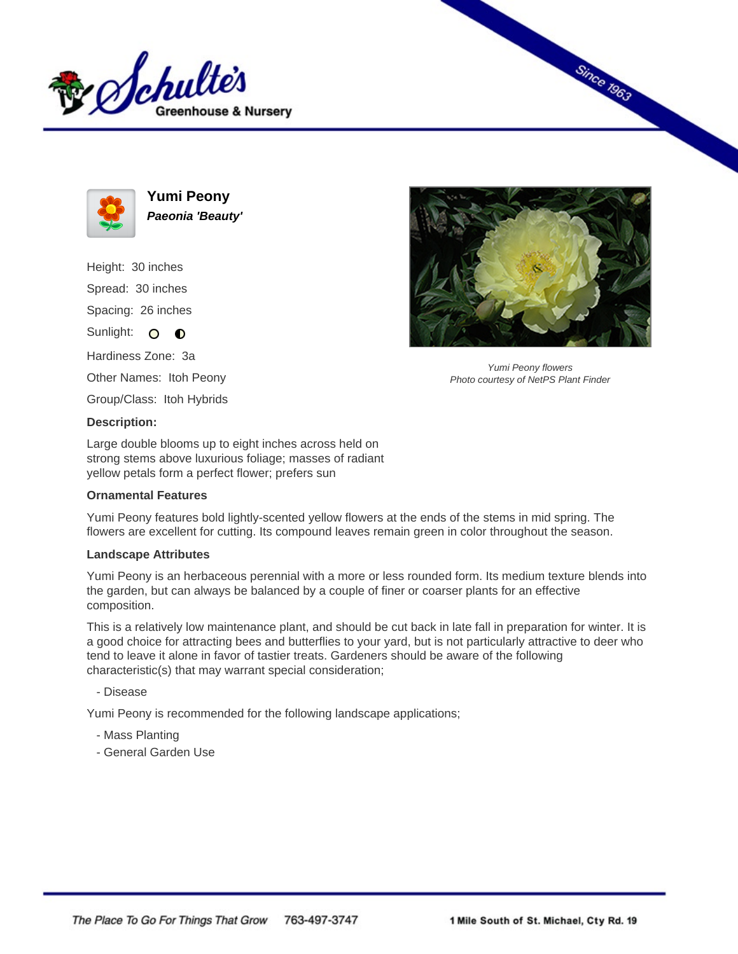



**Yumi Peony Paeonia 'Beauty'**

Height: 30 inches Spread: 30 inches Spacing: 26 inches

Sunlight: O  $\bullet$ 

Hardiness Zone: 3a

Other Names: Itoh Peony

Group/Class: Itoh Hybrids

## **Description:**

Large double blooms up to eight inches across held on strong stems above luxurious foliage; masses of radiant yellow petals form a perfect flower; prefers sun

## **Ornamental Features**

Yumi Peony features bold lightly-scented yellow flowers at the ends of the stems in mid spring. The flowers are excellent for cutting. Its compound leaves remain green in color throughout the season.

## **Landscape Attributes**

Yumi Peony is an herbaceous perennial with a more or less rounded form. Its medium texture blends into the garden, but can always be balanced by a couple of finer or coarser plants for an effective composition.

This is a relatively low maintenance plant, and should be cut back in late fall in preparation for winter. It is a good choice for attracting bees and butterflies to your yard, but is not particularly attractive to deer who tend to leave it alone in favor of tastier treats. Gardeners should be aware of the following characteristic(s) that may warrant special consideration;

- Disease

Yumi Peony is recommended for the following landscape applications;

- Mass Planting
- General Garden Use



Since 1963

Yumi Peony flowers Photo courtesy of NetPS Plant Finder